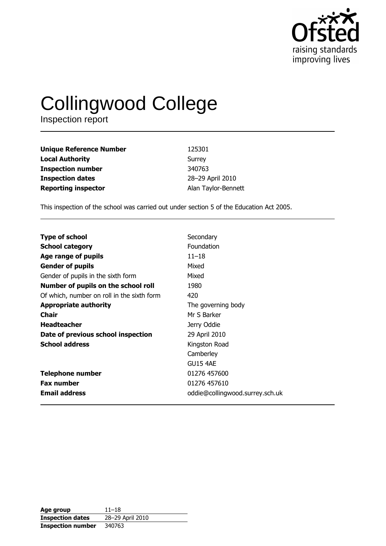

# Collingwood College

| <b>Unique Reference Number</b> | 125301              |
|--------------------------------|---------------------|
| <b>Local Authority</b>         | Surrey              |
| <b>Inspection number</b>       | 340763              |
| <b>Inspection dates</b>        | 28-29 April 2010    |
| <b>Reporting inspector</b>     | Alan Taylor-Bennett |

This inspection of the school was carried out under section 5 of the Education Act 2005.

| <b>Type of school</b>                      | Secondary                       |
|--------------------------------------------|---------------------------------|
| <b>School category</b>                     | <b>Foundation</b>               |
| Age range of pupils                        | $11 - 18$                       |
| <b>Gender of pupils</b>                    | Mixed                           |
| Gender of pupils in the sixth form         | Mixed                           |
| Number of pupils on the school roll        | 1980                            |
| Of which, number on roll in the sixth form | 420                             |
| <b>Appropriate authority</b>               | The governing body              |
|                                            |                                 |
| <b>Chair</b>                               | Mr S Barker                     |
| <b>Headteacher</b>                         | Jerry Oddie                     |
| Date of previous school inspection         | 29 April 2010                   |
| <b>School address</b>                      | Kingston Road                   |
|                                            | Camberley                       |
|                                            | <b>GU15 4AE</b>                 |
| <b>Telephone number</b>                    | 01276 457600                    |
| <b>Fax number</b>                          | 01276 457610                    |
| <b>Email address</b>                       | oddie@collingwood.surrey.sch.uk |

| Age group                | $11 - 18$        |
|--------------------------|------------------|
| <b>Inspection dates</b>  | 28-29 April 2010 |
| <b>Inspection number</b> | 340763           |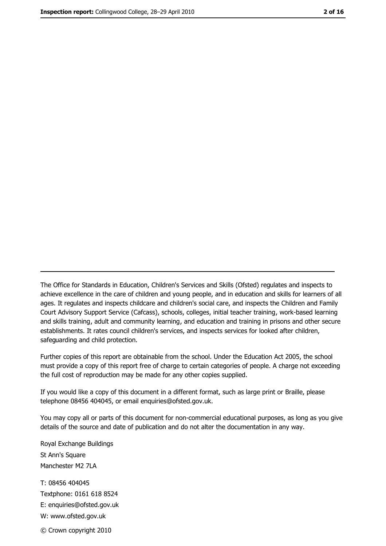The Office for Standards in Education, Children's Services and Skills (Ofsted) regulates and inspects to achieve excellence in the care of children and young people, and in education and skills for learners of all ages. It regulates and inspects childcare and children's social care, and inspects the Children and Family Court Advisory Support Service (Cafcass), schools, colleges, initial teacher training, work-based learning and skills training, adult and community learning, and education and training in prisons and other secure establishments. It rates council children's services, and inspects services for looked after children, safeguarding and child protection.

Further copies of this report are obtainable from the school. Under the Education Act 2005, the school must provide a copy of this report free of charge to certain categories of people. A charge not exceeding the full cost of reproduction may be made for any other copies supplied.

If you would like a copy of this document in a different format, such as large print or Braille, please telephone 08456 404045, or email enquiries@ofsted.gov.uk.

You may copy all or parts of this document for non-commercial educational purposes, as long as you give details of the source and date of publication and do not alter the documentation in any way.

Royal Exchange Buildings St Ann's Square Manchester M2 7LA T: 08456 404045 Textphone: 0161 618 8524 E: enquiries@ofsted.gov.uk W: www.ofsted.gov.uk © Crown copyright 2010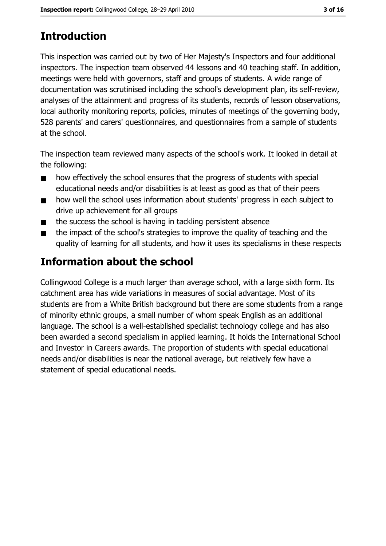# **Introduction**

This inspection was carried out by two of Her Majesty's Inspectors and four additional inspectors. The inspection team observed 44 lessons and 40 teaching staff. In addition, meetings were held with governors, staff and groups of students. A wide range of documentation was scrutinised including the school's development plan, its self-review, analyses of the attainment and progress of its students, records of lesson observations, local authority monitoring reports, policies, minutes of meetings of the governing body, 528 parents' and carers' questionnaires, and questionnaires from a sample of students at the school.

The inspection team reviewed many aspects of the school's work. It looked in detail at the following:

- how effectively the school ensures that the progress of students with special  $\blacksquare$ educational needs and/or disabilities is at least as good as that of their peers
- how well the school uses information about students' progress in each subject to  $\blacksquare$ drive up achievement for all groups
- the success the school is having in tackling persistent absence  $\blacksquare$
- the impact of the school's strategies to improve the quality of teaching and the  $\blacksquare$ quality of learning for all students, and how it uses its specialisms in these respects

# Information about the school

Collingwood College is a much larger than average school, with a large sixth form. Its catchment area has wide variations in measures of social advantage. Most of its students are from a White British background but there are some students from a range of minority ethnic groups, a small number of whom speak English as an additional language. The school is a well-established specialist technology college and has also been awarded a second specialism in applied learning. It holds the International School and Investor in Careers awards. The proportion of students with special educational needs and/or disabilities is near the national average, but relatively few have a statement of special educational needs.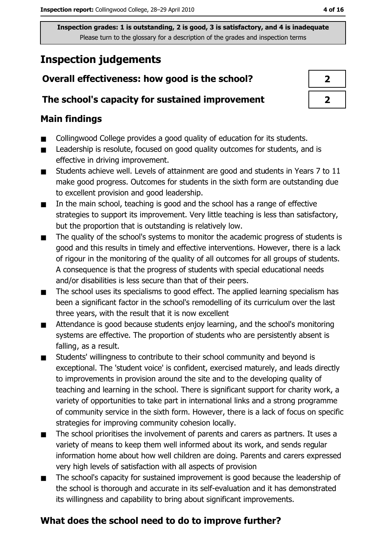# **Inspection judgements**

# Overall effectiveness: how good is the school?

#### The school's capacity for sustained improvement

## **Main findings**

- Collingwood College provides a good quality of education for its students.  $\blacksquare$
- Leadership is resolute, focused on good quality outcomes for students, and is  $\blacksquare$ effective in driving improvement.
- Students achieve well. Levels of attainment are good and students in Years 7 to 11  $\blacksquare$ make good progress. Outcomes for students in the sixth form are outstanding due to excellent provision and good leadership.
- In the main school, teaching is good and the school has a range of effective  $\blacksquare$ strategies to support its improvement. Very little teaching is less than satisfactory, but the proportion that is outstanding is relatively low.
- The quality of the school's systems to monitor the academic progress of students is  $\blacksquare$ good and this results in timely and effective interventions. However, there is a lack of rigour in the monitoring of the quality of all outcomes for all groups of students. A consequence is that the progress of students with special educational needs and/or disabilities is less secure than that of their peers.
- The school uses its specialisms to good effect. The applied learning specialism has  $\blacksquare$ been a significant factor in the school's remodelling of its curriculum over the last three years, with the result that it is now excellent
- Attendance is good because students enjoy learning, and the school's monitoring  $\blacksquare$ systems are effective. The proportion of students who are persistently absent is falling, as a result.
- $\blacksquare$ Students' willingness to contribute to their school community and beyond is exceptional. The 'student voice' is confident, exercised maturely, and leads directly to improvements in provision around the site and to the developing quality of teaching and learning in the school. There is significant support for charity work, a variety of opportunities to take part in international links and a strong programme of community service in the sixth form. However, there is a lack of focus on specific strategies for improving community cohesion locally.
- The school prioritises the involvement of parents and carers as partners. It uses a  $\blacksquare$ variety of means to keep them well informed about its work, and sends regular information home about how well children are doing. Parents and carers expressed very high levels of satisfaction with all aspects of provision
- The school's capacity for sustained improvement is good because the leadership of  $\blacksquare$ the school is thorough and accurate in its self-evaluation and it has demonstrated its willingness and capability to bring about significant improvements.

# What does the school need to do to improve further?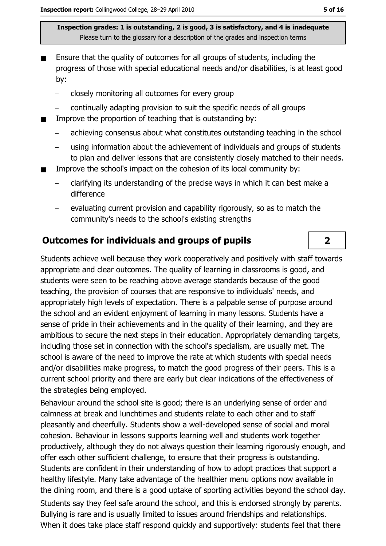- Ensure that the quality of outcomes for all groups of students, including the progress of those with special educational needs and/or disabilities, is at least good by:
	- closely monitoring all outcomes for every group  $\equiv$
	- continually adapting provision to suit the specific needs of all groups
- Improve the proportion of teaching that is outstanding by:  $\blacksquare$ 
	- achieving consensus about what constitutes outstanding teaching in the school
	- using information about the achievement of individuals and groups of students  $\equiv$ to plan and deliver lessons that are consistently closely matched to their needs.
- Improve the school's impact on the cohesion of its local community by:
	- clarifying its understanding of the precise ways in which it can best make a difference
	- evaluating current provision and capability rigorously, so as to match the community's needs to the school's existing strengths

# **Outcomes for individuals and groups of pupils**

Students achieve well because they work cooperatively and positively with staff towards appropriate and clear outcomes. The quality of learning in classrooms is good, and students were seen to be reaching above average standards because of the good teaching, the provision of courses that are responsive to individuals' needs, and appropriately high levels of expectation. There is a palpable sense of purpose around the school and an evident enjoyment of learning in many lessons. Students have a sense of pride in their achievements and in the quality of their learning, and they are ambitious to secure the next steps in their education. Appropriately demanding targets, including those set in connection with the school's specialism, are usually met. The school is aware of the need to improve the rate at which students with special needs and/or disabilities make progress, to match the good progress of their peers. This is a current school priority and there are early but clear indications of the effectiveness of the strategies being employed.

Behaviour around the school site is good; there is an underlying sense of order and calmness at break and lunchtimes and students relate to each other and to staff pleasantly and cheerfully. Students show a well-developed sense of social and moral cohesion. Behaviour in lessons supports learning well and students work together productively, although they do not always question their learning rigorously enough, and offer each other sufficient challenge, to ensure that their progress is outstanding. Students are confident in their understanding of how to adopt practices that support a healthy lifestyle. Many take advantage of the healthier menu options now available in the dining room, and there is a good uptake of sporting activities beyond the school day. Students say they feel safe around the school, and this is endorsed strongly by parents. Bullying is rare and is usually limited to issues around friendships and relationships. When it does take place staff respond quickly and supportively: students feel that there

 $\overline{2}$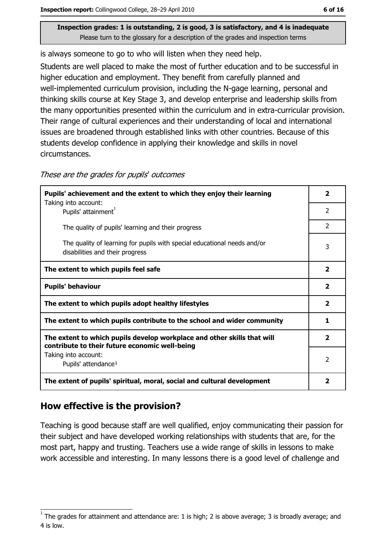is always someone to go to who will listen when they need help.

Students are well placed to make the most of further education and to be successful in higher education and employment. They benefit from carefully planned and well-implemented curriculum provision, including the N-gage learning, personal and thinking skills course at Key Stage 3, and develop enterprise and leadership skills from the many opportunities presented within the curriculum and in extra-curricular provision. Their range of cultural experiences and their understanding of local and international issues are broadened through established links with other countries. Because of this students develop confidence in applying their knowledge and skills in novel circumstances.

| Pupils' achievement and the extent to which they enjoy their learning                                                     |                         |
|---------------------------------------------------------------------------------------------------------------------------|-------------------------|
| Taking into account:<br>Pupils' attainment <sup>1</sup>                                                                   | $\overline{2}$          |
| The quality of pupils' learning and their progress                                                                        | 2                       |
| The quality of learning for pupils with special educational needs and/or<br>disabilities and their progress               | 3                       |
| The extent to which pupils feel safe                                                                                      | 2                       |
| <b>Pupils' behaviour</b>                                                                                                  | $\overline{\mathbf{2}}$ |
| The extent to which pupils adopt healthy lifestyles                                                                       | $\mathbf{2}$            |
| The extent to which pupils contribute to the school and wider community                                                   | 1                       |
| The extent to which pupils develop workplace and other skills that will<br>contribute to their future economic well-being | $\overline{\mathbf{2}}$ |
| Taking into account:                                                                                                      | $\overline{2}$          |
| Pupils' attendance <sup>1</sup>                                                                                           |                         |
| The extent of pupils' spiritual, moral, social and cultural development                                                   | 2                       |

These are the grades for pupils' outcomes

# How effective is the provision?

Teaching is good because staff are well qualified, enjoy communicating their passion for their subject and have developed working relationships with students that are, for the most part, happy and trusting. Teachers use a wide range of skills in lessons to make work accessible and interesting. In many lessons there is a good level of challenge and

The grades for attainment and attendance are: 1 is high; 2 is above average; 3 is broadly average; and 4 is low.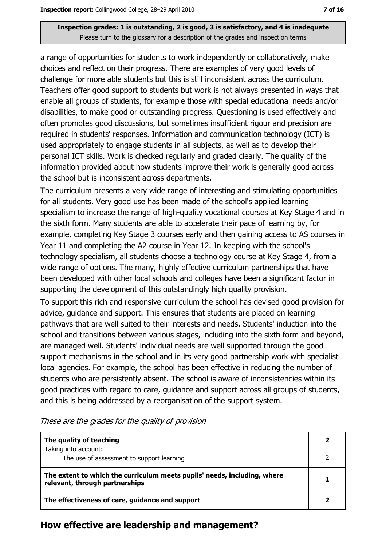a range of opportunities for students to work independently or collaboratively, make choices and reflect on their progress. There are examples of very good levels of challenge for more able students but this is still inconsistent across the curriculum. Teachers offer good support to students but work is not always presented in ways that enable all groups of students, for example those with special educational needs and/or disabilities, to make good or outstanding progress. Questioning is used effectively and often promotes good discussions, but sometimes insufficient rigour and precision are required in students' responses. Information and communication technology (ICT) is used appropriately to engage students in all subjects, as well as to develop their personal ICT skills. Work is checked regularly and graded clearly. The quality of the information provided about how students improve their work is generally good across the school but is inconsistent across departments.

The curriculum presents a very wide range of interesting and stimulating opportunities for all students. Very good use has been made of the school's applied learning specialism to increase the range of high-quality vocational courses at Key Stage 4 and in the sixth form. Many students are able to accelerate their pace of learning by, for example, completing Key Stage 3 courses early and then gaining access to AS courses in Year 11 and completing the A2 course in Year 12. In keeping with the school's technology specialism, all students choose a technology course at Key Stage 4, from a wide range of options. The many, highly effective curriculum partnerships that have been developed with other local schools and colleges have been a significant factor in supporting the development of this outstandingly high quality provision.

To support this rich and responsive curriculum the school has devised good provision for advice, guidance and support. This ensures that students are placed on learning pathways that are well suited to their interests and needs. Students' induction into the school and transitions between various stages, including into the sixth form and beyond, are managed well. Students' individual needs are well supported through the good support mechanisms in the school and in its very good partnership work with specialist local agencies. For example, the school has been effective in reducing the number of students who are persistently absent. The school is aware of inconsistencies within its good practices with regard to care, guidance and support across all groups of students, and this is being addressed by a reorganisation of the support system.

| The quality of teaching                                                                                    |  |
|------------------------------------------------------------------------------------------------------------|--|
| Taking into account:<br>The use of assessment to support learning                                          |  |
|                                                                                                            |  |
| The extent to which the curriculum meets pupils' needs, including, where<br>relevant, through partnerships |  |
| The effectiveness of care, guidance and support                                                            |  |

These are the grades for the quality of provision

#### How effective are leadership and management?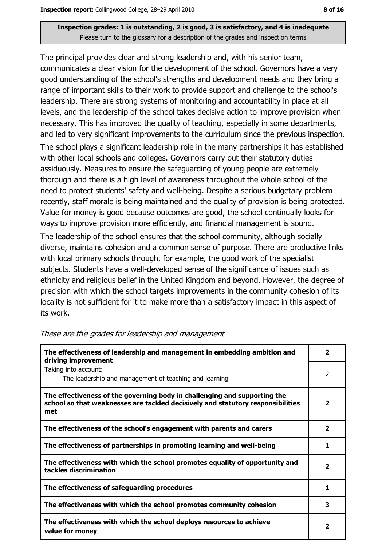The principal provides clear and strong leadership and, with his senior team, communicates a clear vision for the development of the school. Governors have a very good understanding of the school's strengths and development needs and they bring a range of important skills to their work to provide support and challenge to the school's leadership. There are strong systems of monitoring and accountability in place at all levels, and the leadership of the school takes decisive action to improve provision when necessary. This has improved the quality of teaching, especially in some departments, and led to very significant improvements to the curriculum since the previous inspection. The school plays a significant leadership role in the many partnerships it has established with other local schools and colleges. Governors carry out their statutory duties assiduously. Measures to ensure the safeguarding of young people are extremely thorough and there is a high level of awareness throughout the whole school of the need to protect students' safety and well-being. Despite a serious budgetary problem recently, staff morale is being maintained and the quality of provision is being protected. Value for money is good because outcomes are good, the school continually looks for ways to improve provision more efficiently, and financial management is sound. The leadership of the school ensures that the school community, although socially diverse, maintains cohesion and a common sense of purpose. There are productive links with local primary schools through, for example, the good work of the specialist subjects. Students have a well-developed sense of the significance of issues such as ethnicity and religious belief in the United Kingdom and beyond. However, the degree of

precision with which the school targets improvements in the community cohesion of its locality is not sufficient for it to make more than a satisfactory impact in this aspect of its work.

| The effectiveness of leadership and management in embedding ambition and<br>driving improvement                                                                     |                         |
|---------------------------------------------------------------------------------------------------------------------------------------------------------------------|-------------------------|
| Taking into account:<br>The leadership and management of teaching and learning                                                                                      | 2                       |
| The effectiveness of the governing body in challenging and supporting the<br>school so that weaknesses are tackled decisively and statutory responsibilities<br>met | 2                       |
| The effectiveness of the school's engagement with parents and carers                                                                                                | 2                       |
| The effectiveness of partnerships in promoting learning and well-being                                                                                              | 1                       |
| The effectiveness with which the school promotes equality of opportunity and<br>tackles discrimination                                                              | $\overline{\mathbf{2}}$ |
| The effectiveness of safeguarding procedures                                                                                                                        | 1                       |
| The effectiveness with which the school promotes community cohesion                                                                                                 | з                       |
| The effectiveness with which the school deploys resources to achieve<br>value for money                                                                             | 2                       |

#### These are the grades for leadership and management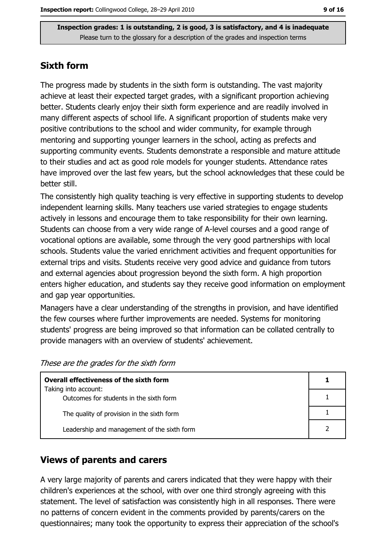## **Sixth form**

The progress made by students in the sixth form is outstanding. The vast majority achieve at least their expected target grades, with a significant proportion achieving better. Students clearly enjoy their sixth form experience and are readily involved in many different aspects of school life. A significant proportion of students make very positive contributions to the school and wider community, for example through mentoring and supporting younger learners in the school, acting as prefects and supporting community events. Students demonstrate a responsible and mature attitude to their studies and act as good role models for younger students. Attendance rates have improved over the last few years, but the school acknowledges that these could be better still.

The consistently high quality teaching is very effective in supporting students to develop independent learning skills. Many teachers use varied strategies to engage students actively in lessons and encourage them to take responsibility for their own learning. Students can choose from a very wide range of A-level courses and a good range of vocational options are available, some through the very good partnerships with local schools. Students value the varied enrichment activities and frequent opportunities for external trips and visits. Students receive very good advice and guidance from tutors and external agencies about progression beyond the sixth form. A high proportion enters higher education, and students say they receive good information on employment and gap year opportunities.

Managers have a clear understanding of the strengths in provision, and have identified the few courses where further improvements are needed. Systems for monitoring students' progress are being improved so that information can be collated centrally to provide managers with an overview of students' achievement.

These are the grades for the sixth form

| Overall effectiveness of the sixth form     |  |  |
|---------------------------------------------|--|--|
| Taking into account:                        |  |  |
| Outcomes for students in the sixth form     |  |  |
| The quality of provision in the sixth form  |  |  |
| Leadership and management of the sixth form |  |  |

# **Views of parents and carers**

A very large majority of parents and carers indicated that they were happy with their children's experiences at the school, with over one third strongly agreeing with this statement. The level of satisfaction was consistently high in all responses. There were no patterns of concern evident in the comments provided by parents/carers on the questionnaires; many took the opportunity to express their appreciation of the school's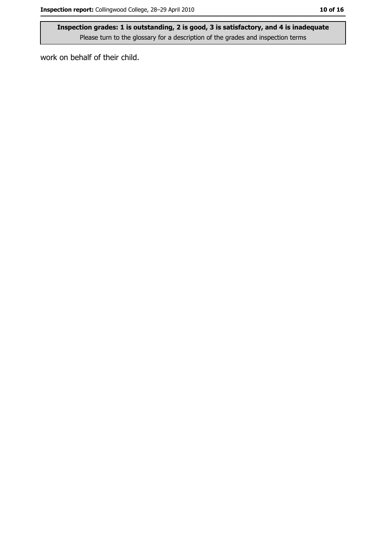work on behalf of their child.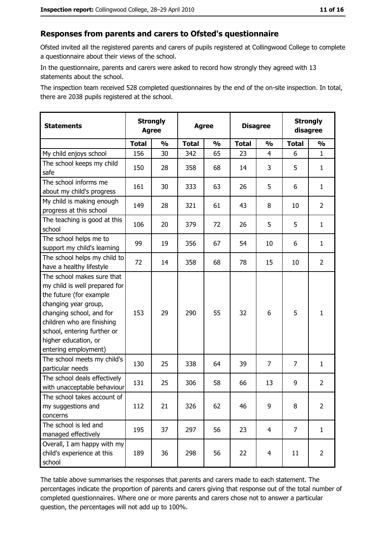# Responses from parents and carers to Ofsted's questionnaire

Ofsted invited all the registered parents and carers of pupils registered at Collingwood College to complete a questionnaire about their views of the school.

In the questionnaire, parents and carers were asked to record how strongly they agreed with 13 statements about the school.

The inspection team received 528 completed questionnaires by the end of the on-site inspection. In total, there are 2038 pupils registered at the school.

| <b>Statements</b>                                                                                                                                                                                                                                       | <b>Strongly</b><br><b>Agree</b> |               | <b>Agree</b> |               | <b>Disagree</b> |                | <b>Strongly</b><br>disagree |                |
|---------------------------------------------------------------------------------------------------------------------------------------------------------------------------------------------------------------------------------------------------------|---------------------------------|---------------|--------------|---------------|-----------------|----------------|-----------------------------|----------------|
|                                                                                                                                                                                                                                                         | <b>Total</b>                    | $\frac{1}{2}$ | <b>Total</b> | $\frac{1}{2}$ | <b>Total</b>    | $\frac{1}{2}$  | <b>Total</b>                | $\frac{1}{2}$  |
| My child enjoys school                                                                                                                                                                                                                                  | 156                             | 30            | 342          | 65            | 23              | 4              | 6                           | $\mathbf{1}$   |
| The school keeps my child<br>safe                                                                                                                                                                                                                       | 150                             | 28            | 358          | 68            | 14              | 3              | 5                           | $\mathbf{1}$   |
| The school informs me<br>about my child's progress                                                                                                                                                                                                      | 161                             | 30            | 333          | 63            | 26              | 5              | 6                           | $\mathbf{1}$   |
| My child is making enough<br>progress at this school                                                                                                                                                                                                    | 149                             | 28            | 321          | 61            | 43              | 8              | 10                          | $\overline{2}$ |
| The teaching is good at this<br>school                                                                                                                                                                                                                  | 106                             | 20            | 379          | 72            | 26              | 5              | 5                           | $\mathbf{1}$   |
| The school helps me to<br>support my child's learning                                                                                                                                                                                                   | 99                              | 19            | 356          | 67            | 54              | 10             | 6                           | $\mathbf{1}$   |
| The school helps my child to<br>have a healthy lifestyle                                                                                                                                                                                                | 72                              | 14            | 358          | 68            | 78              | 15             | 10                          | $\overline{2}$ |
| The school makes sure that<br>my child is well prepared for<br>the future (for example<br>changing year group,<br>changing school, and for<br>children who are finishing<br>school, entering further or<br>higher education, or<br>entering employment) | 153                             | 29            | 290          | 55            | 32              | 6              | 5                           | $\mathbf{1}$   |
| The school meets my child's<br>particular needs                                                                                                                                                                                                         | 130                             | 25            | 338          | 64            | 39              | $\overline{7}$ | 7                           | $\mathbf{1}$   |
| The school deals effectively<br>with unacceptable behaviour                                                                                                                                                                                             | 131                             | 25            | 306          | 58            | 66              | 13             | 9                           | $\overline{2}$ |
| The school takes account of<br>my suggestions and<br>concerns                                                                                                                                                                                           | 112                             | 21            | 326          | 62            | 46              | 9              | 8                           | $\overline{2}$ |
| The school is led and<br>managed effectively                                                                                                                                                                                                            | 195                             | 37            | 297          | 56            | 23              | 4              | $\overline{7}$              | $\mathbf{1}$   |
| Overall, I am happy with my<br>child's experience at this<br>school                                                                                                                                                                                     | 189                             | 36            | 298          | 56            | 22              | 4              | 11                          | $\overline{2}$ |

The table above summarises the responses that parents and carers made to each statement. The percentages indicate the proportion of parents and carers giving that response out of the total number of completed questionnaires. Where one or more parents and carers chose not to answer a particular question, the percentages will not add up to 100%.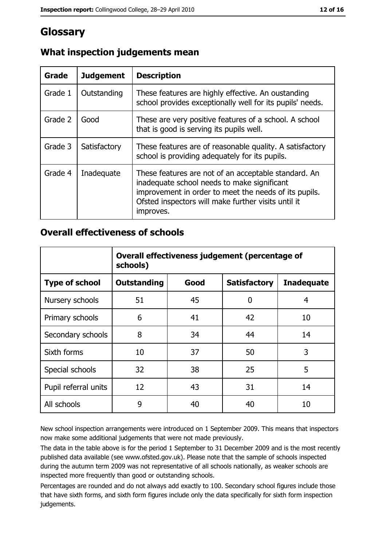# Glossary

| Grade   | <b>Judgement</b> | <b>Description</b>                                                                                                                                                                                                               |
|---------|------------------|----------------------------------------------------------------------------------------------------------------------------------------------------------------------------------------------------------------------------------|
| Grade 1 | Outstanding      | These features are highly effective. An oustanding<br>school provides exceptionally well for its pupils' needs.                                                                                                                  |
| Grade 2 | Good             | These are very positive features of a school. A school<br>that is good is serving its pupils well.                                                                                                                               |
| Grade 3 | Satisfactory     | These features are of reasonable quality. A satisfactory<br>school is providing adequately for its pupils.                                                                                                                       |
| Grade 4 | Inadequate       | These features are not of an acceptable standard. An<br>inadequate school needs to make significant<br>improvement in order to meet the needs of its pupils.<br>Ofsted inspectors will make further visits until it<br>improves. |

# What inspection judgements mean

## **Overall effectiveness of schools**

|                       | Overall effectiveness judgement (percentage of<br>schools) |      |                     |                   |
|-----------------------|------------------------------------------------------------|------|---------------------|-------------------|
| <b>Type of school</b> | <b>Outstanding</b>                                         | Good | <b>Satisfactory</b> | <b>Inadequate</b> |
| Nursery schools       | 51                                                         | 45   | 0                   | 4                 |
| Primary schools       | 6                                                          | 41   | 42                  | 10                |
| Secondary schools     | 8                                                          | 34   | 44                  | 14                |
| Sixth forms           | 10                                                         | 37   | 50                  | 3                 |
| Special schools       | 32                                                         | 38   | 25                  | 5                 |
| Pupil referral units  | 12                                                         | 43   | 31                  | 14                |
| All schools           | 9                                                          | 40   | 40                  | 10                |

New school inspection arrangements were introduced on 1 September 2009. This means that inspectors now make some additional judgements that were not made previously.

The data in the table above is for the period 1 September to 31 December 2009 and is the most recently published data available (see www.ofsted.gov.uk). Please note that the sample of schools inspected during the autumn term 2009 was not representative of all schools nationally, as weaker schools are inspected more frequently than good or outstanding schools.

Percentages are rounded and do not always add exactly to 100. Secondary school figures include those that have sixth forms, and sixth form figures include only the data specifically for sixth form inspection judgements.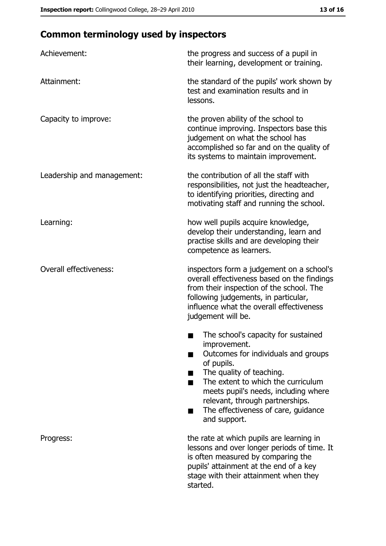# **Common terminology used by inspectors**

| Achievement:                  | the progress and success of a pupil in<br>their learning, development or training.                                                                                                                                                                                                                           |
|-------------------------------|--------------------------------------------------------------------------------------------------------------------------------------------------------------------------------------------------------------------------------------------------------------------------------------------------------------|
| Attainment:                   | the standard of the pupils' work shown by<br>test and examination results and in<br>lessons.                                                                                                                                                                                                                 |
| Capacity to improve:          | the proven ability of the school to<br>continue improving. Inspectors base this<br>judgement on what the school has<br>accomplished so far and on the quality of<br>its systems to maintain improvement.                                                                                                     |
| Leadership and management:    | the contribution of all the staff with<br>responsibilities, not just the headteacher,<br>to identifying priorities, directing and<br>motivating staff and running the school.                                                                                                                                |
| Learning:                     | how well pupils acquire knowledge,<br>develop their understanding, learn and<br>practise skills and are developing their<br>competence as learners.                                                                                                                                                          |
| <b>Overall effectiveness:</b> | inspectors form a judgement on a school's<br>overall effectiveness based on the findings<br>from their inspection of the school. The<br>following judgements, in particular,<br>influence what the overall effectiveness<br>judgement will be.                                                               |
|                               | The school's capacity for sustained<br>improvement.<br>Outcomes for individuals and groups<br>of pupils.<br>The quality of teaching.<br>The extent to which the curriculum<br>meets pupil's needs, including where<br>relevant, through partnerships.<br>The effectiveness of care, guidance<br>and support. |
| Progress:                     | the rate at which pupils are learning in<br>lessons and over longer periods of time. It<br>is often measured by comparing the<br>pupils' attainment at the end of a key<br>stage with their attainment when they<br>started.                                                                                 |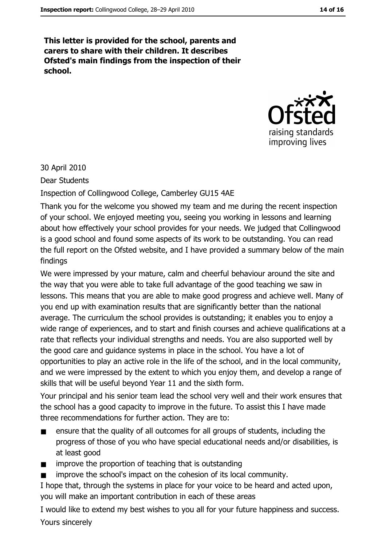This letter is provided for the school, parents and carers to share with their children. It describes Ofsted's main findings from the inspection of their school.



30 April 2010

Dear Students

Inspection of Collingwood College, Camberley GU15 4AE

Thank you for the welcome you showed my team and me during the recent inspection of your school. We enjoyed meeting you, seeing you working in lessons and learning about how effectively your school provides for your needs. We judged that Collingwood is a good school and found some aspects of its work to be outstanding. You can read the full report on the Ofsted website, and I have provided a summary below of the main findings

We were impressed by your mature, calm and cheerful behaviour around the site and the way that you were able to take full advantage of the good teaching we saw in lessons. This means that you are able to make good progress and achieve well. Many of you end up with examination results that are significantly better than the national average. The curriculum the school provides is outstanding; it enables you to enjoy a wide range of experiences, and to start and finish courses and achieve qualifications at a rate that reflects your individual strengths and needs. You are also supported well by the good care and guidance systems in place in the school. You have a lot of opportunities to play an active role in the life of the school, and in the local community, and we were impressed by the extent to which you enjoy them, and develop a range of skills that will be useful beyond Year 11 and the sixth form.

Your principal and his senior team lead the school very well and their work ensures that the school has a good capacity to improve in the future. To assist this I have made three recommendations for further action. They are to:

- ensure that the quality of all outcomes for all groups of students, including the progress of those of you who have special educational needs and/or disabilities, is at least good
- improve the proportion of teaching that is outstanding  $\blacksquare$
- improve the school's impact on the cohesion of its local community.

I hope that, through the systems in place for your voice to be heard and acted upon, you will make an important contribution in each of these areas

I would like to extend my best wishes to you all for your future happiness and success. Yours sincerely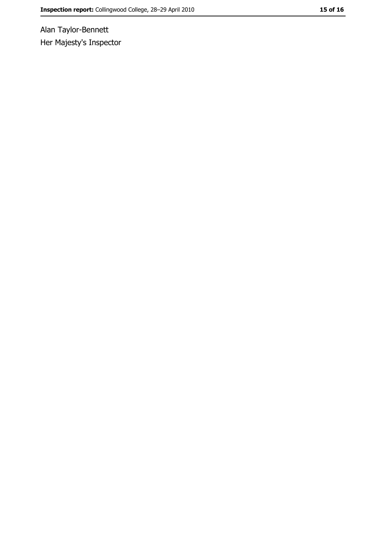Alan Taylor-Bennett Her Majesty's Inspector